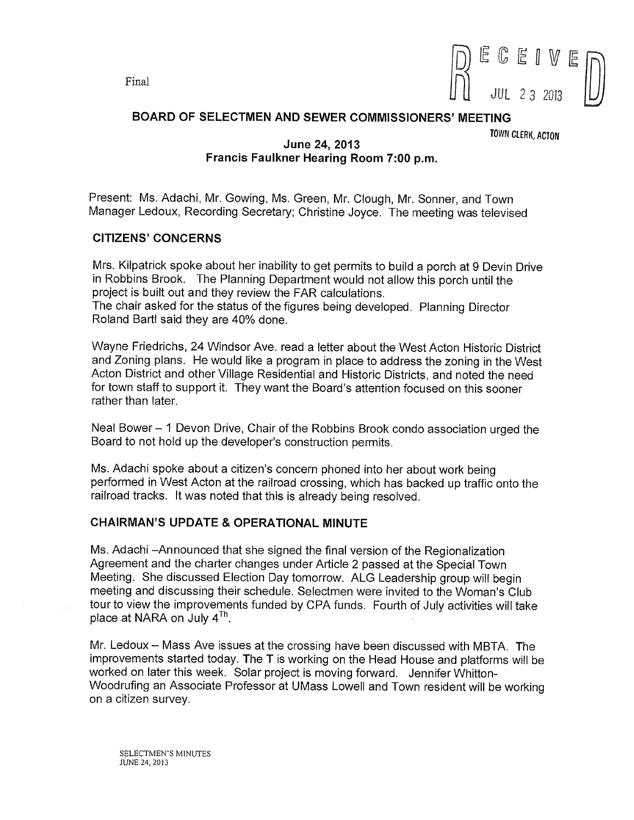

# BOARD OF SELECTMEN AND SEWER COMMISSIONERS' MEETING

TOWN CLERK, ACTON

# June 24, 2013 Francis Faulkner Hearing Room 7:00 p.m.

Present: Ms. Adachi, Mr. Gowing, Ms. Green, Mr. Clough, Mr. Sonner, and Town Manager Ledoux, Recording Secretary; Christine Joyce. The meeting was televised

# CITIZENS' CONCERNS

Mrs. Kilpatrick spoke about her inability to get permits to build a porch at 9 Devin Drive in Robbins Brook. The Planning Department would not allow this porch until the project is built out and they review the FAR calculations. The chair asked for the status of the figures being developed. Planning Director Roland Barti said they are 40% done.

Wayne Friedrichs, 24 Windsor Ave. read a letter about the West Acton Historic District and Zoning plans. He would like a program in place to address the zoning in the West Acton District and other Village Residential and Historic Districts, and noted the need for town staff to support it. They want the Board's attention focused on this sooner rather than later.

Neal Bower — <sup>1</sup> Devon Drive, Chair of the Robbins Brook condo association urged the Board to not hold up the developer's construction permits.

Ms. Adachi spoke about a citizen's concern phoned into her about work being performed in West Acton at the railroad crossing, which has backed up traffic onto the railroad tracks. It was noted that this is already being resolved.

# CHAIRMAN'S UPDATE & OPERATIONAL MINUTE

Ms. Adachi —Announced that she signed the final version of the Regionalization Agreement and the charter changes under Article 2 passed at the Special Town Meeting. She discussed Election Day tomorrow. ALG Leadership group will begin meeting and discussing their schedule. Selectmen were invited to the Woman's Club the start and allocation of the interest of the contract were invited to the woman's order<br>tour to view the improvements funded by CPA funds. Fourth of July activities will take<br>place at NARA on July 4<sup>Th</sup>.

Mr. Ledoux — Mass Ave issues at the crossing have been discussed with MBTA. The improvements started today. The T is working on the Head House and plafforms will be worked on later this week. Solar project is moving forward. Jennifer Whitton Woodrufing an Associate Professor at UMass Lowell and Town resident will be working on a citizen survey.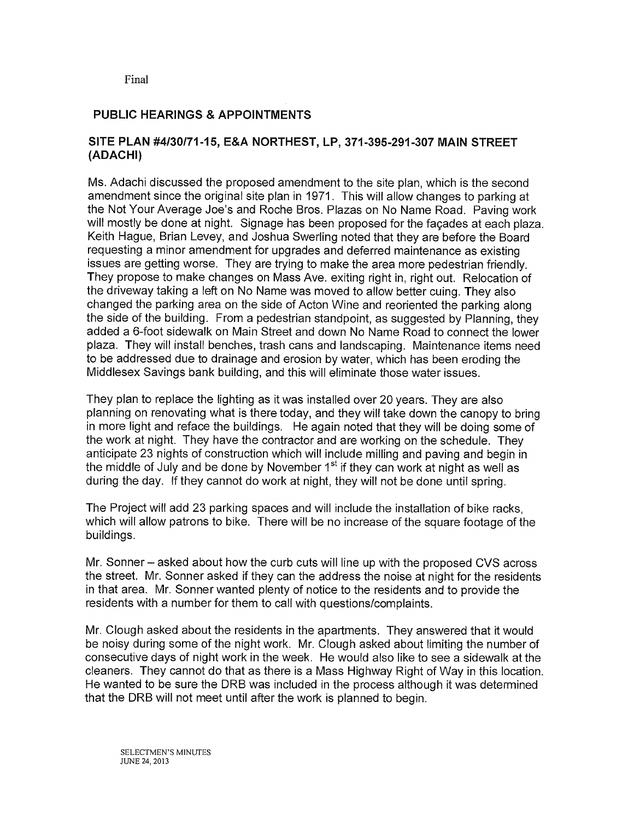# PUBLIC HEARINGS & APPOINTMENTS

# SITE PLAN #4/30/71-15, E&A NORTHEST, LP, 371-395-291-307 MAIN STREET (ADACHI)

Ms. Adachi discussed the proposed amendment to the site plan, which is the second amendment since the original site plan in 1971. This will allow changes to parking at the Not Your Average Joe's and Roche Bros. Plazas on No Name Road. Paving work will mostly be done at night. Signage has been proposed for the façades at each plaza. Keith Hague, Brian Levey, and Joshua Swerling noted that they are before the Board requesting a minor amendment for upgrades and deferred maintenance as existing issues are getting worse. They are trying to make the area more pedestrian friendly. They propose to make changes on Mass Ave. exiting right in, right out. Relocation of the driveway taking a left on No Name was moved to allow better cuing. They also changed the parking area on the side of Acton Wine and reoriented the parking along the side of the building. From a pedestrian standpoint, as suggested by Planning, they added a 6-foot sidewalk on Main Street and down No Name Road to connect the lower plaza. They will install benches, trash cans and landscaping. Maintenance items need to be addressed due to drainage and erosion by water, which has been eroding the Middlesex Savings bank building, and this will eliminate those water issues.

They plan to replace the lighting as it was installed over 20 years. They are also planning on renovating what is there today, and they will take down the canopy to bring in more light and reface the buildings. He again noted that they will be doing some of the work at night. They have the contractor and are working on the schedule. They anticipate 23 nights of construction which will include milling and paving and begin in the middle of July and be done by November 1<sup>st</sup> if they can work at night as well as during the day. If they cannot do work at night, they will not be done until spring.

The Project will add 23 parking spaces and will include the installation of bike racks, which will allow patrons to bike. There will be no increase of the square footage of the buildings.

Mr. Sonner — asked about how the curb cuts will line up with the proposed CVS across the street. Mr. Sonner asked if they can the address the noise at night for the residents in that area. Mr. Sonner wanted plenty of notice to the residents and to provide the residents with a number for them to call with questions/complaints.

Mr. Clough asked about the residents in the apartments. They answered that it would be noisy during some of the night work, Mr. Clough asked about limiting the number of consecutive days of night work in the week. He would also like to see a sidewalk at the cleaners. They cannot do that as there is a Mass Highway Right of Way in this location. He wanted to be sure the DRB was included in the process although it was determined that the DRB will not meet until after the work is planned to begin.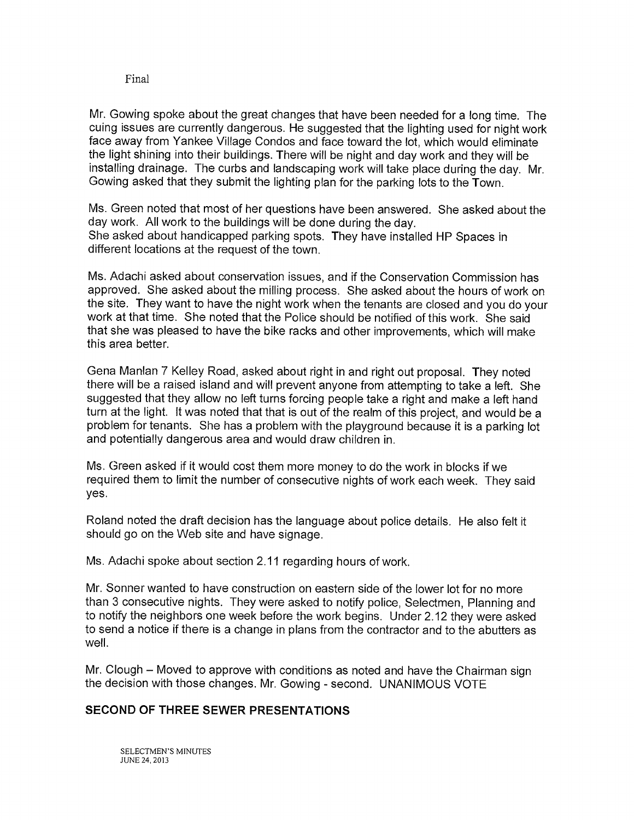Mr. Gowing spoke about the great changes that have been needed for a long time. The cuing issues are currently dangerous. He suggested that the lighting used for night work face away from Yankee Village Condos and face toward the lot, which would eliminate the light shining into their buildings. There will be night and day work and they will be installing drainage. The curbs and landscaping work will take place during the day. Mr. Gowing asked that they submit the lighting plan for the parking lots to the Town.

Ms. Green noted that most of her questions have been answered. She asked about the day work. All work to the buildings will be done during the day. She asked about handicapped parking spots. They have installed HP Spaces in different locations at the request of the town.

Ms. Adachi asked about conservation issues, and if the Conservation Commission has approved. She asked about the milling process. She asked about the hours of work on the site. They want to have the night work when the tenants are closed and you do your work at that time. She noted that the Police should be notified of this work. She said that she was pleased to have the bike racks and other improvements, which will make this area better.

Gena Manlan 7 Kelley Road, asked about right in and right out proposal. They noted there will be a raised island and will prevent anyone from attempting to take a left. She suggested that they allow no left turns forcing people take a right and make a left hand turn at the light. It was noted that that is out of the realm of this project, and would be a problem for tenants. She has a problem with the playground because it is a parking lot and potentially dangerous area and would draw children in.

Ms. Green asked if it would cost them more money to do the work in blocks if we required them to limit the number of consecutive nights of work each week. They said yes.

Roland noted the draft decision has the language about police details. He also felt it should go on the Web site and have signage.

Ms. Adachi spoke about section 2.11 regarding hours of work.

Mr. Sonner wanted to have construction on eastern side of the lower lot for no more than 3 consecutive nights. They were asked to notify police, Selectmen, Planning and to notify the neighbors one week before the work begins. Under 2.12 they were asked to send a notice if there is a change in plans from the contractor and to the abutters as well.

Mr. Clough — Moved to approve with conditions as noted and have the Chairman sign the decision with those changes. Mr. Gowing - second. UNANIMOUS VOTE

# SECOND OF THREE SEWER PRESENTATIONS

SELECTMEN'S MINUTES JUNE 24, 2013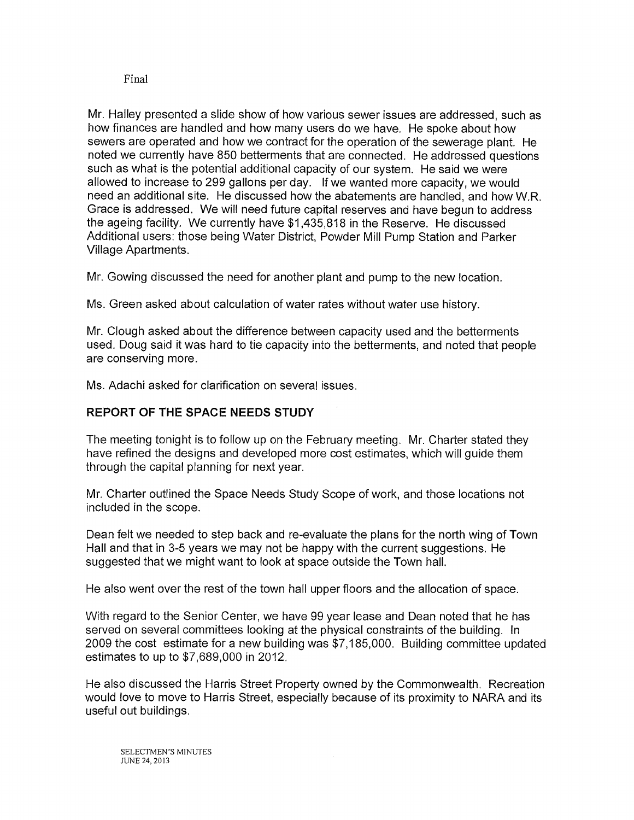Mr. Halley presented a slide show of how various sewer issues are addressed, such as how finances are handled and how many users do we have. He spoke about how sewers are operated and how we contract for the operation of the sewerage plant. He noted we currently have 850 betterments that are connected. He addressed questions such as what is the potential additional capacity of our system. He said we were allowed to increase to 299 gallons per day. If we wanted more capacity, we would need an additional site. He discussed how the abatements are handled, and how W.R. Grace is addressed. We will need future capital reserves and have begun to address the ageing facility. We currently have \$1,435,818 in the Reserve. He discussed Additional users: those being Water District, Powder Mill Pump Station and Parker Village Apartments.

Mr. Gowing discussed the need for another plant and pump to the new location.

Ms. Green asked about calculation of water rates without water use history.

Mr. Clough asked about the difference between capacity used and the betterments used. Doug said it was hard to tie capacity into the betterments, and noted that people are conserving more.

Ms. Adachi asked for clarification on several issues.

# REPORT OF THE SPACE NEEDS STUDY

The meeting tonight is to follow up on the February meeting. Mr. Charter stated they have refined the designs and developed more cost estimates, which will guide them through the capital planning for next year.

Mr. Charter outlined the Space Needs Study Scope of work, and those locations not included in the scope.

Dean felt we needed to step back and re-evaluate the plans for the north wing of Town Hall and that in 3-5 years we may not be happy with the current suggestions. He suggested that we might want to look at space outside the Town hall.

He also went over the rest of the town hall upper floors and the allocation of space.

With regard to the Senior Center, we have 99 year lease and Dean noted that he has served on several committees looking at the physical constraints of the building. In 2009 the cost estimate for a new building was \$7,185,000. Building committee updated estimates to up to \$7,689,000 in 2012.

He also discussed the Harris Street Property owned by the Commonwealth, Recreation would love to move to Harris Street, especially because of its proximity to NARA and its useful out buildings.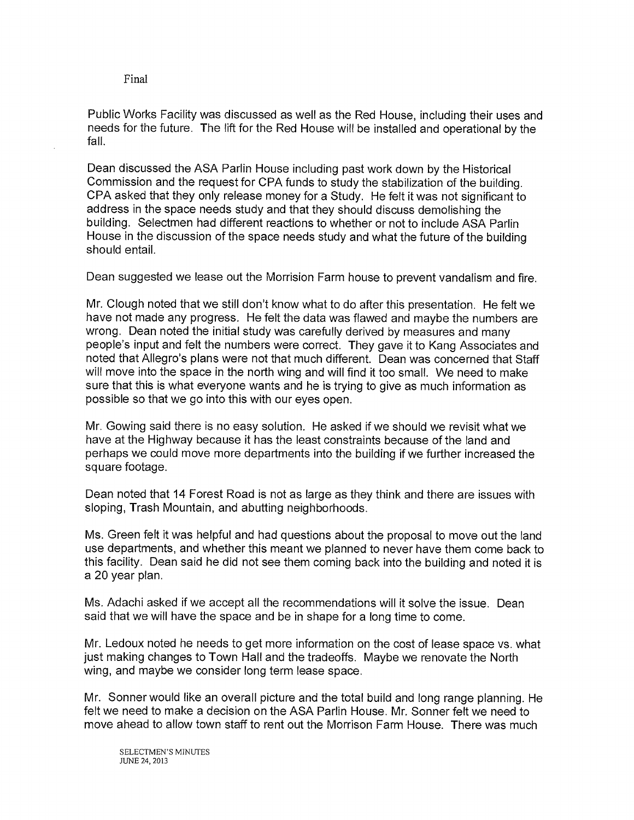Public Works Facility was discussed as well as the Red House, including their uses and needs for the future. The lift for the Red House will be installed and operational by the fall.

Dean discussed the ASA Parlin House including past work down by the Historical Commission and the request for CPA funds to study the stabilization of the building. CPA asked that they only release money for a Study. He felt it was not significant to address in the space needs study and that they should discuss demolishing the building. Selectmen had different reactions to whether or not to include ASA Parlin House in the discussion of the space needs study and what the future of the building should entail.

Dean suggested we lease out the Morrision Farm house to prevent vandalism and fire.

Mr. Clough noted that we still don't know what to do after this presentation. He felt we have not made any progress. He felt the data was flawed and maybe the numbers are wrong. Dean noted the initial study was carefully derived by measures and many people's input and felt the numbers were correct. They gave it to Kang Associates and noted that Allegro's plans were not that much different. Dean was concerned that Staff will move into the space in the north wing and will find it too small. We need to make sure that this is what everyone wants and he is trying to give as much information as possible so that we go into this with our eyes open.

Mr. Gowing said there is no easy solution. He asked if we should we revisit what we have at the Highway because it has the least constraints because of the land and perhaps we could move more departments into the building if we further increased the square footage.

Dean noted that 14 Forest Road is not as large as they think and there are issues with sloping, Trash Mountain, and abutting neighborhoods.

Ms. Green felt it was helpful and had questions about the proposal to move out the land use departments, and whether this meant we planned to never have them come back to this facility. Dean said he did not see them coming back into the building and noted it is a 20 year plan.

Ms. Adachi asked if we accept all the recommendations will it solve the issue. Dean said that we will have the space and be in shape for a long time to come.

Mr. Ledoux noted he needs to get more information on the cost of lease space vs. what just making changes to Town Hall and the tradeoffs. Maybe we renovate the North wing, and maybe we consider long term lease space.

Mr. Sonner would like an overall picture and the total build and long range planning. He felt we need to make a decision on the ASA Parlin House. Mr. Sonner felt we need to move ahead to allow town staff to rent out the Morrison Farm House. There was much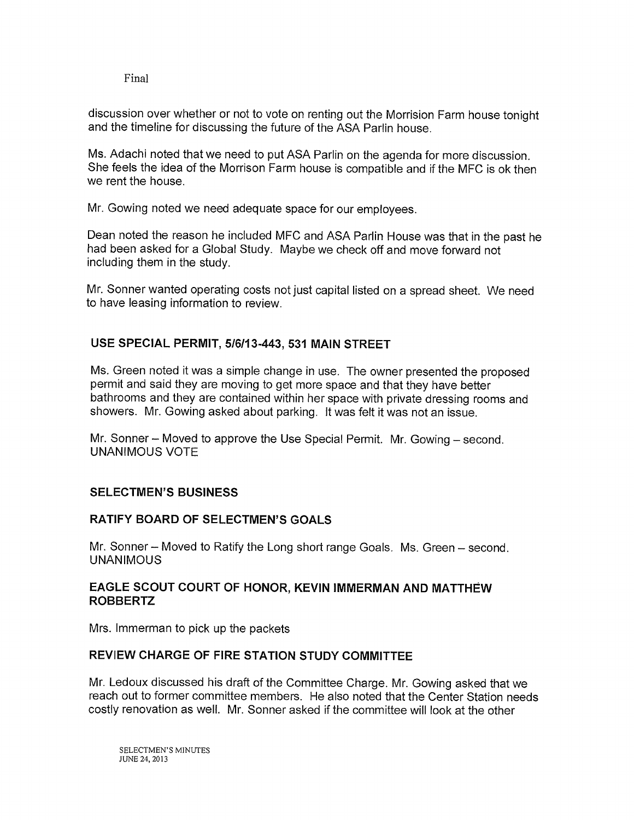discussion over whether or not to vote on renting out the Morrision Farm house tonight and the timeline for discussing the future of the ASA Parlin house.

Ms. Adachi noted that we need to put ASA Parlin on the agenda for more discussion. She feels the idea of the Morrison Farm house is compatible and if the MFC is ok then we rent the house.

Mr. Gowing noted we need adequate space for our employees.

Dean noted the reason he included MFC and ASA Parlin House was that in the past he had been asked for <sup>a</sup> Global Study. Maybe we check off and move forward not including them in the study.

Mr. Sonner wanted operating costs not just capital listed on <sup>a</sup> spread sheet. We need to have leasing information to review.

# USE SPECIAL PERMIT, 516113-443, 531 MAIN STREET

Ms. Green noted it was <sup>a</sup> simple change in use. The owner presented the proposed permit and said they are moving to get more space and that they have better bathrooms and they are contained within her space with private dressing rooms and showers. Mr. Gowing asked about parking. It was felt it was not an issue.

Mr. Sonner — Moved to approve the Use Special Permit. Mr. Gowing — second. UNANIMOUS VOTE

# SELECTMEN'S BUSINESS

# RATIFY BOARD OF SELECTMEN'S GOALS

Mr. Sonner — Moved to Ratify the Long short range Goals. Ms. Green — second. UNANIMOUS

# EAGLE SCOUT COURT OF HONOR, KEVIN IMMERMAN AND MATTHEW ROBBERTZ

Mrs. Immerman to pick up the packets

# REVIEW CHARGE OF FIRE STATION STUDY COMMITTEE

Mr. Ledoux discussed his draft of the Committee Charge. Mr. Gowing asked that we reach out to former committee members. He also noted that the Center Station needs costly renovation as well. Mr. Sonner asked if the committee will look at the other

SELECTMEN'S MINUTES JUNE 24, 2013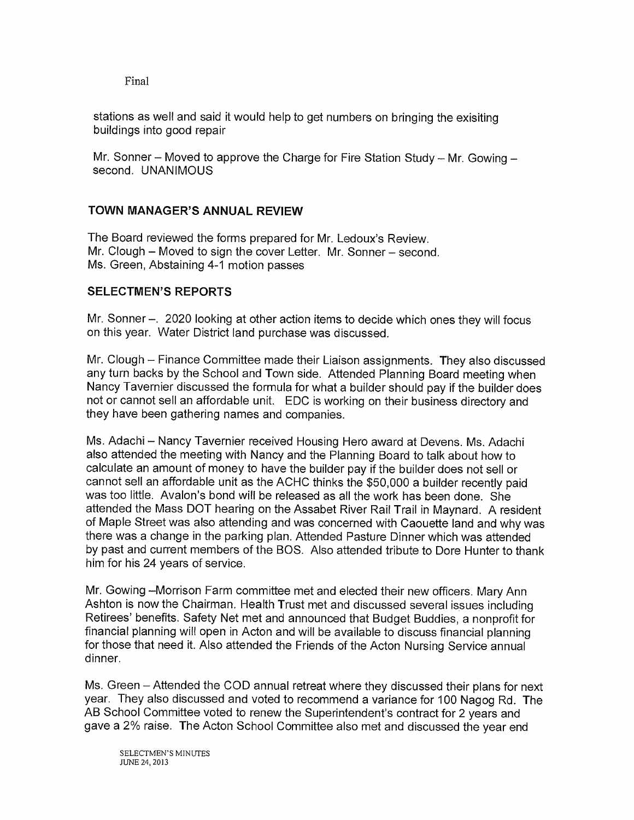stations as well and said it would help to get numbers on bringing the exisiting buildings into good repair

Mr. Sonner — Moved to approve the Charge for Fire Station Study — Mr. Gowing second. UNANIMOUS

# TOWN MANAGER'S ANNUAL REVIEW

The Board reviewed the forms prepared for Mr. Ledoux's Review. Mr. Clough – Moved to sign the cover Letter. Mr. Sonner – second. Ms. Green, Abstaining 4-1 motion passes

# SELECTMEN'S REPORTS

Mr. Sonner –. 2020 looking at other action items to decide which ones they will focus on this year. Water District land purchase was discussed.

Mr. Clough – Finance Committee made their Liaison assignments. They also discussed any turn backs by the School and Town side. Attended Planning Board meeting when Nancy Tavernier discussed the formula for what a builder should pay if the builder does not or cannot sell an affordable unit. EDC is working on their business directory and they have been gathering names and companies.

Ms. Adachi — Nancy Tavernier received Housing Hero award at Devens. Ms. Adachi also attended the meeting with Nancy and the Planning Board to talk about how to calculate an amount of money to have the builder pay if the builder does not sell or cannot sell an affordable unit as the ACHC thinks the \$50,000 a builder recently paid was too little. Avalon's bond will be released as all the work has been done. She attended the Mass DOT hearing on the Assabet River Rail Trail in Maynard. A resident of Maple Street was also attending and was concerned with Caouette land and why was there was a change in the parking plan. Attended Pasture Dinner which was attended by past and current members of the BOS. Also attended tribute to Dore Hunter to thank him for his 24 years of service.

Mr. Gowing —Morrison Farm committee met and elected their new officers. Mary Ann Ashton is now the Chairman. Health Trust met and discussed several issues including Retirees' benefits. Safety Net met and announced that Budget Buddies, a nonprofit for financial planning will open in Acton and will be available to discuss financial planning for those that need it. Also attended the Friends of the Acton Nursing Service annual dinner.

Ms. Green — Attended the COD annual retreat where they discussed their plans for next year. They also discussed and voted to recommend a variance for 100 Nagog Rd. The AB School Committee voted to renew the Superintendent's contract for 2 years and gave a 2% raise. The Acton School Committee also met and discussed the year end

SELECTMEN'S MINUTES JUNE 24, 2013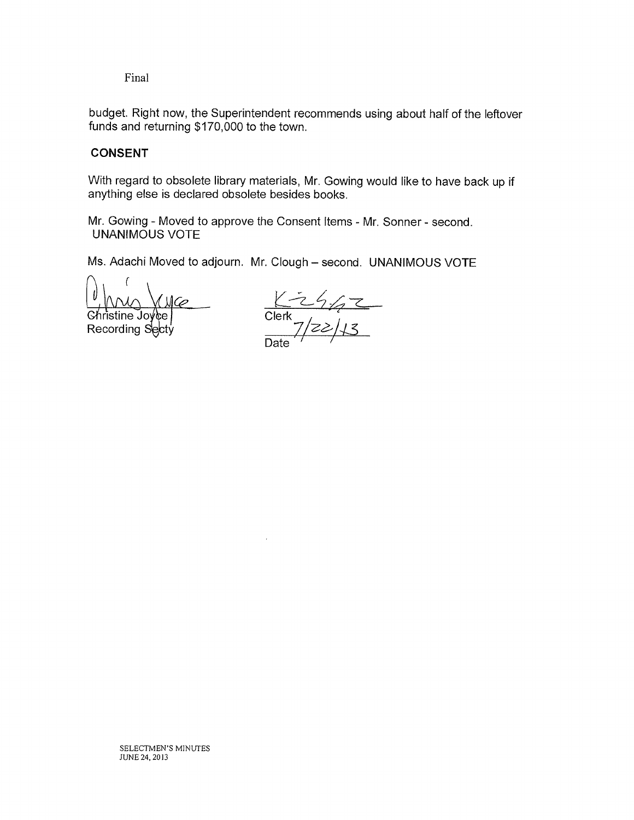budget. Right now, the Superintendent recommends using about half of the leftover funds and returning \$170,000 to the town.

# CONSENT

With regard to obsolete library materials, Mr. Gowing would like to have back up if anything else is declared obsolete besides books.

Mr. Gowing - Moved to approve the Consent Items - Mr. Sonner - second. UNANIMOUS VOTE

Ms. Adachi Moved to adjourn. Mr. Clough — second. UNANIMOUS VOTE

<u>V</u> (VVV) V V)<br>Christine Joyce<br>Recording Secty

Clerk  $7/22/13$ Date  $\dot{}$   $^{\prime}$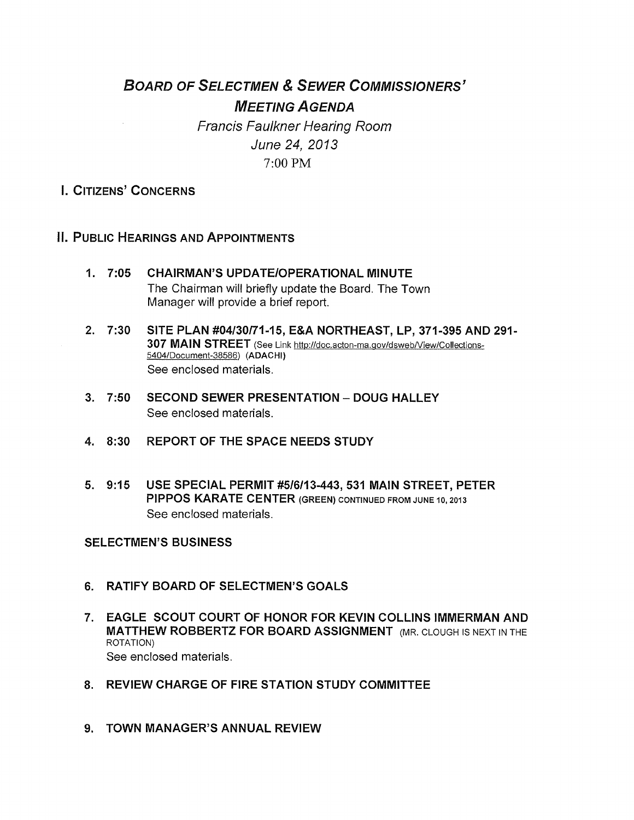# BOARD OF SELECTMEN & SEWER COMMISSIONERS' MEETING AGENDA

Francis Faulkner Hearing Room June 24, 2013 7:00PM

# I. CITIZENS' CONCERNS

# II. PUBLIC HEARINGS AND APPOINTMENTS

- 1. 7:05 CHAIRMAN'S UPDATE/OPERATIONAL MINUTE The Chairman will briefly update the Board. The Town Manager will provide a brief report.
- 2. 7:30 SITE PLAN #04130/71-15, E&A NORTHEAST, LP, 371-395 AND 291- 307 MAIN STREET (See Link http://doc.acton-ma.gov/dsweb/View/Collections-5404/Document-38586) (ADACHI) See enclosed materials.
- 3. 7:50 SECOND SEWER PRESENTATION DOUG HALLEY See enclosed materials.
- 4. 8:30 REPORT OF THE SPACE NEEDS STUDY
- 5. 9:15 USE SPECIAL PERMIT #5I6I13-443, 531 MAIN STREET, PETER PIPPOS KARATE CENTER (GREEN) CONTINUED FROM JUNE 10, 2013 See enclosed materials.

SELECTMEN'S BUSINESS

- 6. RATIFY BOARD OF SELECTMEN'S GOALS
- 7. EAGLE SCOUT COURT OF HONOR FOR KEVIN COLLINS IMMERMAN AND MATTHEW ROBBERTZ FOR BOARD ASSIGNMENT (MR. CLOUGH IS NEXT IN THE ROTATION) See enclosed materials.
- 8. REVIEW CHARGE OF FIRE STATION STUDY COMMITTEE
- 9. TOWN MANAGER'S ANNUAL REVIEW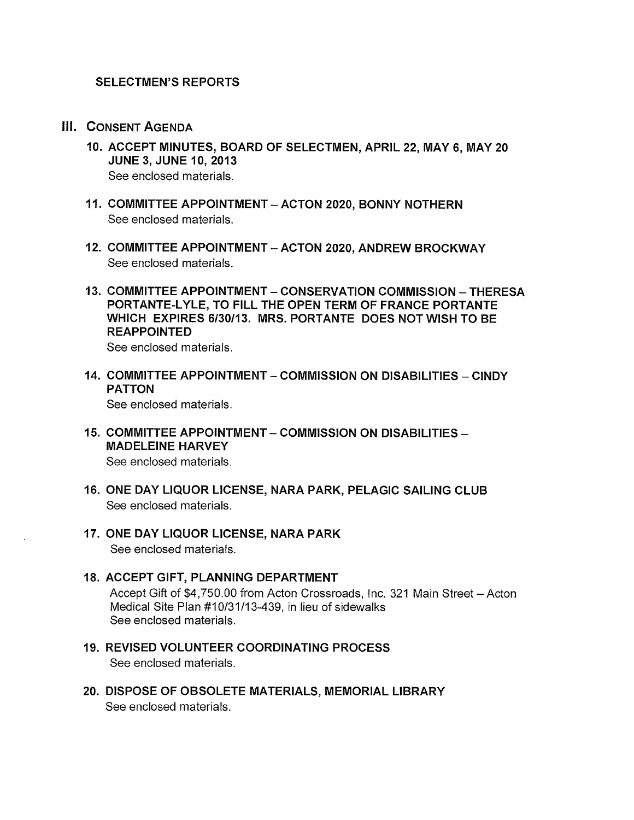- III. CONSENT AGENDA
	- 10. ACCEPT MINUTES, BOARD OF SELECTMEN, APRIL 22, MAY 6, MAY 20 JUNE 3, JUNE 10, 2013 See enclosed materials.
	- 11. COMMITTEE APPOINTMENT ACTON 2020, BONNY NOTHERN See enclosed materials.
	- 12. COMMITTEE APPOINTMENT ACTON 2020, ANDREW BROCKWAY See enclosed materials.
	- 13. COMMITTEE APPOINTMENT CONSERVATION COMMISSION THERESA PORTANTE-LYLE, TO FILL THE OPEN TERM OF FRANCE PORTANTE WHICH EXPIRES 6/30113. MRS. PORTANTE DOES NOT WISH TO BE REAPPOINTED

See enclosed materials.

- 14. COMMITTEE APPOINTMENT -COMMISSION ON DISABILITIES CINDY PATTON See enclosed materials.
- 15. COMMITTEE APPOINTMENT— COMMISSION ON DISABILITIES MADELEINE HARVEY

See enclosed materials.

- 16. ONE DAY LIQUOR LICENSE, NARA PARK, PELAGIC SAILING CLUB See enclosed materials.
- 17. ONE DAY LIQUOR LICENSE, NARA PARK See enclosed materials.
- 18. ACCEPT GIFT, PLANNING DEPARTMENT Accept Gift of \$4,750.00 from Acton Crossroads, Inc. 321 Main Street — Acton Medical Site Plan #10/31/13-439, in lieu of sidewalks See enclosed materials.
- 19. REVISED VOLUNTEER COORDINATING PROCESS See enclosed materials.
- 20. DISPOSE OF OBSOLETE MATERIALS, MEMORIAL LIBRARY See enclosed materials.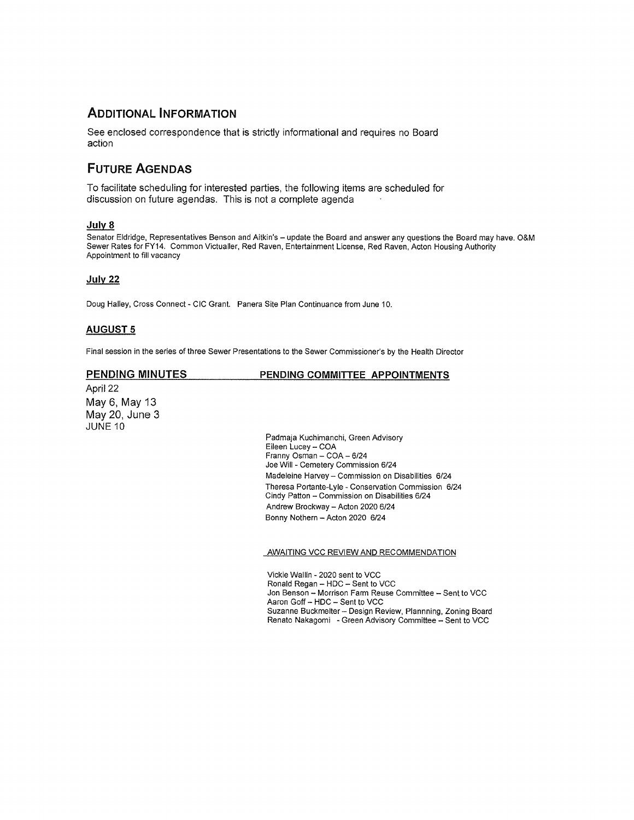# ADDITIONAL INFORMATION

See enclosed correspondence that is strictly informational and requires no Board action

# FUTURE AGENDAS

To facilitate scheduling for interested parties, the following items are scheduled for discussion on future agendas. This is not a complete agenda

## July 8

Senator Eldridge, Representatives Benson and Aitkin's — update the Board and answer any questions the Board may have. O&M Sewer Rates for FY14. Common Victualler, Red Raven, Entertainment License, Red Raven, Acton Housing Authority Appointment to fill vacancy

## July 22

Doug Halley, Cross Connect - CIC Grant. Panera Site Plan Continuance from June 10.

## AUGUST 5

Final session in the series of three Sewer Presentations to the Sewer Commissioner's by the Health Director

PENDING MINUTES PENDING COMMITTEE APPOINTMENTS

April 22 May 6, May 13 May 20, June 3 JUNE<sub>10</sub>

> Padmaja Kuchimanchi, Green Advisory Eileen Lucey — COA Franny Osman — COA — 6/24 Joe Will - Cemetery Commission 6/24 Madeleine Harvey — Commission on Disabilities 6/24 Theresa Portante-Lyle -Conservation Commission 6/24 Cindy Patton — Commission on Disabilities 6/24 Andrew Brockway — Acton 2020 6/24 Bonny Nothern — Acton 2020 6/24

AWAITING VCC REVIEW AND RECOMMENDATION

Vickie Wallin - 2020 sent to VCC Ronald Regan — HDC — Sent to VCC Jon Benson — Morrison Farm Reuse Committee — Sent to VCC Aaron Goff — HDC — Sent to VCC Suzanne Buckmelter — Design Review, Plannning, Zoning Board Renato Nakagomi - Green Advisory Committee — Sent to VCC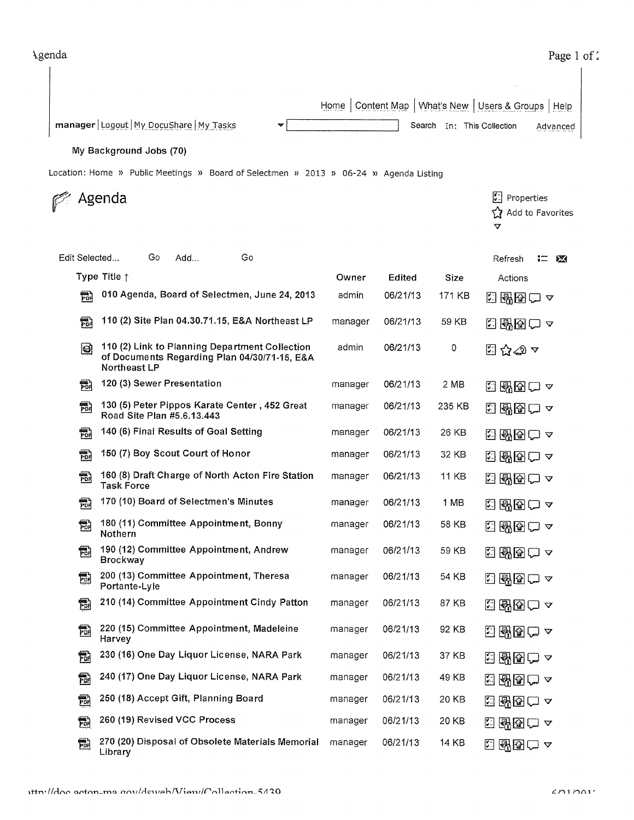|                                                                                       |                                                                                                                | Home    | Content Map   What's New |                            | Users & Groups   Help                                             |
|---------------------------------------------------------------------------------------|----------------------------------------------------------------------------------------------------------------|---------|--------------------------|----------------------------|-------------------------------------------------------------------|
|                                                                                       | manager   Logout   My DocuShare   My Tasks<br>w                                                                |         |                          | Search In: This Collection | Advanced                                                          |
| My Background Jobs (70)                                                               |                                                                                                                |         |                          |                            |                                                                   |
| Location: Home » Public Meetings » Board of Selectmen » 2013 » 06-24 » Agenda Listing |                                                                                                                |         |                          |                            |                                                                   |
|                                                                                       | Agenda                                                                                                         |         |                          |                            | $ \cdot $<br>Properties<br>☆<br>Add to Favorites<br>$\bm{\nabla}$ |
| Edit Selected                                                                         | Go<br>Go<br>Add                                                                                                |         |                          |                            | Refresh<br>拦<br><b>PAGE</b>                                       |
|                                                                                       | Type Title $\uparrow$                                                                                          | Owner   | Edited                   | Size                       | Actions                                                           |
| 鬜                                                                                     | 010 Agenda, Board of Selectmen, June 24, 2013                                                                  | admin   | 06/21/13                 | 171 KB                     | ⊡ + 2 2 △                                                         |
| 霝                                                                                     | 110 (2) Site Plan 04.30.71.15, E&A Northeast LP                                                                | manager | 06/21/13                 | 59 KB                      | ⊡ + 20 ∞                                                          |
| ◙                                                                                     | 110 (2) Link to Planning Department Collection<br>of Documents Regarding Plan 04/30/71-15, E&A<br>Northeast LP | admin   | 06/21/13                 | 0                          | ධිරුතුය                                                           |
| 鬜                                                                                     | 120 (3) Sewer Presentation                                                                                     | manager | 06/21/13                 | 2 MB                       | $\sqrt{2}$<br>图图ロー                                                |
| 鬜                                                                                     | 130 (5) Peter Pippos Karate Center, 452 Great<br>Road Site Plan #5.6.13.443                                    | manager | 06/21/13                 | 235 KB                     | 图图ロー<br>M                                                         |
| 昂                                                                                     | 140 (6) Final Results of Goal Setting                                                                          | manager | 06/21/13                 | 26 KB                      | 图图ロー<br>岡                                                         |
| 霝                                                                                     | 150 (7) Boy Scout Court of Honor                                                                               | manager | 06/21/13                 | 32 KB                      | 图画ロー<br>闛                                                         |
| 勗                                                                                     | 160 (8) Draft Charge of North Acton Fire Station<br><b>Task Force</b>                                          | manager | 06/21/13                 | 11 KB                      | 酬国ロュ<br>臼                                                         |
| 霝                                                                                     | 170 (10) Board of Selectmen's Minutes                                                                          | manager | 06/21/13                 | 1 MB                       | 2888ロ△                                                            |
| 翻                                                                                     | 180 (11) Committee Appointment, Bonny<br>Nothern                                                               | manager | 06/21/13                 | 58 KB                      | 日曜日ロ~                                                             |
| 霝                                                                                     | 190 (12) Committee Appointment, Andrew<br><b>Brockway</b>                                                      | manager | 06/21/13                 | 59 KB                      | 西國図□▽                                                             |
| 勖                                                                                     | 200 (13) Committee Appointment, Theresa<br>Portante-Lyle                                                       | manager | 06/21/13                 | 54 KB                      | 3 28 2 8                                                          |
| 鬜                                                                                     | 210 (14) Committee Appointment Cindy Patton                                                                    | manager | 06/21/13                 | 87 KB                      | ⊡图图□ ∽                                                            |
| 鬝                                                                                     | 220 (15) Committee Appointment, Madeleine<br>Harvey                                                            | manager | 06/21/13                 | 92 KB                      | 日酔图ロー                                                             |
| 鬜                                                                                     | 230 (16) One Day Liquor License, NARA Park                                                                     | manager | 06/21/13                 | 37 KB                      | 2 58 2 8                                                          |
| 鬜                                                                                     | 240 (17) One Day Liquor License, NARA Park                                                                     | manager | 06/21/13                 | 49 KB                      | 日昭国亡~                                                             |
| 匐                                                                                     | 250 (18) Accept Gift, Planning Board                                                                           | manager | 06/21/13                 | 20 KB                      | ⊡酬图□ ∽                                                            |
| 勖                                                                                     | 260 (19) Revised VCC Process                                                                                   | manager | 06/21/13                 | 20 KB                      | 日野园口~                                                             |
| 勖                                                                                     | 270 (20) Disposal of Obsolete Materials Memorial<br>Library                                                    | manager | 06/21/13                 | <b>14 KB</b>               | 3 142□ 4                                                          |